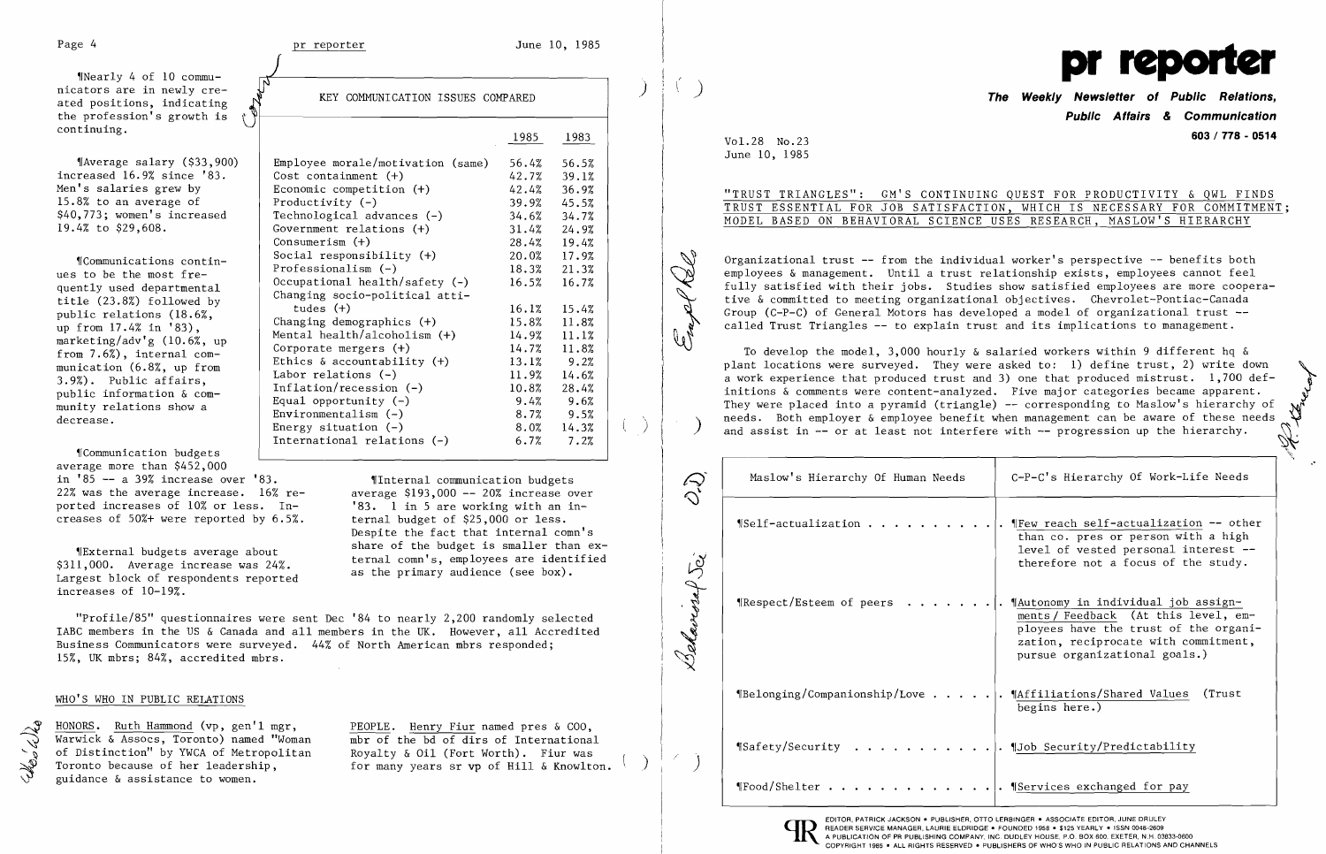Government relations  $(+)$ 

Economic competition  $(+)$  42.4% 36.9%<br>Productivity  $(-)$  39.9% 45.5%

Consumerism (+) 28.4% 19.4%<br>Social responsibility (+) 20.0% 17.9%

International relations (-) 6.7% 7.2%

Social responsibility (+) 20.0% 17.9% 'ICommunications contin Professionalism (-) 18.3% 21.3% ues to be the most fre Occupational health/safety (-) 16.5% 16.7% quently used departmental Changing socio-political atti title (23.8%) followed by tudes (+) 16.1% 15.4% public relations (18.6%, Changing demographics (+) 15.8% 11.8% up from 17.4% in '83), Mental health/alcoholism (+) 14.9% 11.1% marketing/adv'g (10.6%, up Corporate mergers (+) 14.7% 11.8% from 7.6%), internal com Ethics & accountability (+) 13.1% 9.2% munication (6.8%, up from Labor relations (-) 11. 9% 14.6% 3.9%). Public affairs, Inflation/recession (-) 10.8% 28.4% public information & com Equal opportunity (-) 9.4% 9.6% munity relations show a Environmentalism (-) 8.7% 9.5% decrease. Energy situation (-) 8.0% 14.3%

Share of the budget is smaller than ex-<br>\$311,000. Average increase was 24%.<br>Largest block of respondents reported as the primary audience (see box). increases of 10-19%.

*HONORS. Ruth Hammond (vp, gen'l mgr, Warwick & Assocs, Toronto) named "Woman* Warwick & Assocs, Toronto) named "Woman mbr of the bd of dirs of International of Distinction" by YWCA of Metropolitan Royalty & Oil (Fort Worth). Fiur was<br>Toronto because of her leadership, for many years sr vp of Hill & Knowlto guidance & assistance to women.

PEOPLE. Henry Fiur named pres & COO. for many years sr vp of Hill & Knowlton.

 $\vert$ 

 $\left($ 

~rCommunication budgets average more than \$452,000

in '85 -- a 39% increase over '83. 9 [Internal communication budgets] 22% was the average increase.  $16\%$  re-<br>ported increases of 10% or less. In-<br>'83. 1 in 5 are working with an inported increases of 10% or less. In-<br>creases of 50%+ were reported by 6.5%. ternal budget of \$25,000 or less. creases of  $50\%$ + were reported by  $6.5\%$ .

Despite the fact that internal comn's

as the primary audience (see box).

\*Nearly 4 of 10 commu-<br>nicators are in newly cre- $\frac{1}{100}$  ated positions, indicating  $\frac{N}{N}$  KEY COMMUNICATION ISSUES COMPARED the profession's growth is<br>continuing. continuing.  $\bigcup$ 

 $\texttt{N}$ Average salary (\$33,900) Employee morale/motivation (same) 56.4% 56.5%<br>reased 16.9% since '83. Cost containment (+) 42.7% 39.1% increased 16.9% since '83. <br>
Men's salaries grew by <br>
Economic competition (+) 42.4% 36.9% 15.8% to an average of  $\begin{array}{c|c} \text{Productivity} \\ \text{39.9\%} \\ \text{340,773; women's increased} \\ \text{15.8\%} \end{array}$ \$40,773; women's increased  $\begin{array}{|l|l|}\n 34.6\% & 34.7\% \\
 \hline\n 19.4\% & to 529,608.\n \end{array}$   $\begin{array}{|l|l|}\n 34.6\% & 34.7\% \\
 44.9\% & to 31.4\% \\
 \hline\n 31.4\% & 24.9\% \\
 \end{array}$ 

> ~~~ *\.ii"*

"Profile/85" questionnaires were sent Dec '84 to nearly 2,200 randomly selected IABC members in the US & Canada and all members in the UK. However, all Accredited Business Communicators were surveyed. 44% of North American mbrs responded; 15%, UK mbrs; 84%, accredited mbrs.

# WHO'S WHO IN PUBLIC RELATIONS

the dela

| $\mathcal{D}$ | Maslow's Hierarchy Of Human Needs                                                      | C-P-C's Hierarchy Of Work-Life Needs                                                                                                                                                          |  |  |  |  |  |  |
|---------------|----------------------------------------------------------------------------------------|-----------------------------------------------------------------------------------------------------------------------------------------------------------------------------------------------|--|--|--|--|--|--|
|               | <i><b>ISelf-actualization</b></i>                                                      | " Few reach self-actualization -- other<br>than co. pres or person with a high<br>level of vested personal interest --<br>therefore not a focus of the study.                                 |  |  |  |  |  |  |
| Behavior Sei  | Respect/Esteem of peers                                                                | "Autonomy in individual job assign-<br>ments / Feedback (At this level, em-<br>ployees have the trust of the organi-<br>zation, reciprocate with commitment,<br>pursue organizational goals.) |  |  |  |  |  |  |
|               | $\parallel$ Belonging/Companionship/Love                                               | . ¶Affiliations/Shared Values<br>(Trust)<br>begins here.)                                                                                                                                     |  |  |  |  |  |  |
|               | "Safety/Security Tob Security/Predictability                                           |                                                                                                                                                                                               |  |  |  |  |  |  |
|               | "Food/Shelter TServices exchanged for pay                                              |                                                                                                                                                                                               |  |  |  |  |  |  |
|               | READER SERVICE MANAGER, LAURIE ELDRIDGE . FOUNDED 1958 . \$125 YEARLY . ISSN 0048-2609 | EDITOR, PATRICK JACKSON . PUBLISHER, OTTO LERBINGER . ASSOCIATE EDITOR, JUNE DRULEY<br>A PUBLICATION OF PR PUBLISHING COMPANY, INC. DUDLEY HOUSE, P.O. BOX 600, EXETER, N.H. 03833-0600       |  |  |  |  |  |  |



# **Public Affairs & Communication 603 / 778 - <sup>0514</sup>** Vol. 28 No. 23

| NG QUEST FOR PRODUCTIVITY & QWL FINDS   |  |  |  |  |  |  |  |  |  |  |  |  |
|-----------------------------------------|--|--|--|--|--|--|--|--|--|--|--|--|
| ION, WHICH IS NECESSARY FOR COMMITMENT; |  |  |  |  |  |  |  |  |  |  |  |  |
| USES RESEARCH, MASLOW'S HIERARCHY       |  |  |  |  |  |  |  |  |  |  |  |  |

June 10, 1985

# "TRUST TRIANGLES": GM'S CONTINUI TRUST ESSENTIAL FOR JOB SATISFACT MODEL BASED ON BEHAVIORAL SCIENCE

Organizational trust -- from the individual worker's perspective -- benefits both employees & management. Until a trust relationship exists, employees cannot feel Judget Co The Saction with their jobs. Studies show satisfied employees are more coopertive & committed to meeting organizational objectives. Chevrolet-Pontiac-Canada Group (C-P-C) of General Motors has developed a model of organiza fully satisfied with their jobs. Studies show satisfied employees are more coopera Group (C-P-C) of General Motors has developed a model of organizational trust called Trust Triangles -- to explain trust and its implications to management.

To develop the model, 3,000 hourly  $\&$  salaried workers within 9 different hq  $\&$ plant locations were surveyed. They were asked to: 1) define trust, 2) write down<br>a work experience that produced trust and 3) one that produced mistrust. 1,700 definitions & comments were content-analyzed. Five major categories became apparent. They were placed into a pyramid (triangle) -- corresponding to Maslow's hierarchy of needs. Both employer & employee benefit when management can be aware of these needs<br>and assist in -- or at least not interfere with -- progression up the hierarchy.

."

| Maslow's Hierarchy Of Human Needs                 | C-P-C's Hierarchy Of Work-Life Needs                                                                                                                                                          |
|---------------------------------------------------|-----------------------------------------------------------------------------------------------------------------------------------------------------------------------------------------------|
| $\P$ Self-actualization                           | $\P$ Few reach self-actualization -- other<br>than co. pres or person with a high<br>level of vested personal interest --<br>therefore not a focus of the study.                              |
| ¶Respect/Esteem of peers                          | "Autonomy in individual job assign-<br>ments / Feedback (At this level, em-<br>ployees have the trust of the organi-<br>zation, reciprocate with commitment,<br>pursue organizational goals.) |
| $\P$ Belonging/Companionship/Love $\ldots \ldots$ | " Affiliations/Shared Values<br>(Trust<br>begins here.)                                                                                                                                       |
| ¶Safety/Security<br>.                             | . ¶Job Security/Predictability                                                                                                                                                                |
| $\P$ Food/Shelter                                 | . ¶Services exchanged for pay                                                                                                                                                                 |